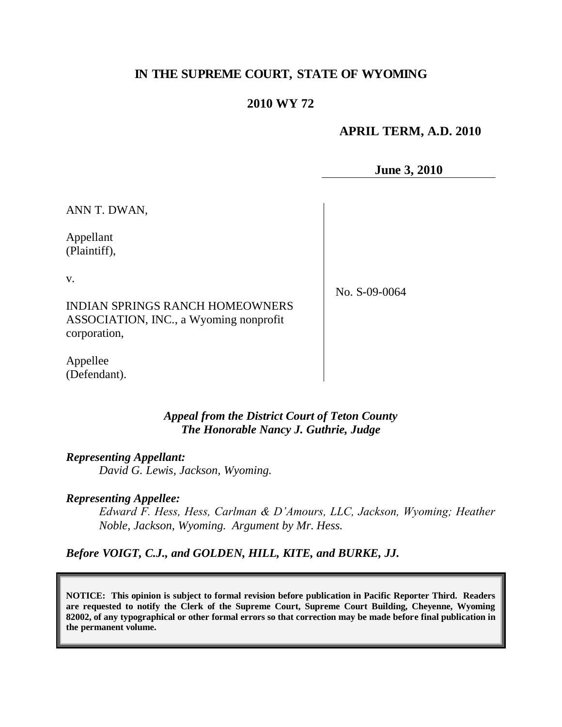# **IN THE SUPREME COURT, STATE OF WYOMING**

# **2010 WY 72**

#### **APRIL TERM, A.D. 2010**

**June 3, 2010**

ANN T. DWAN,

Appellant (Plaintiff),

v.

No. S-09-0064

INDIAN SPRINGS RANCH HOMEOWNERS ASSOCIATION, INC., a Wyoming nonprofit corporation,

Appellee (Defendant).

#### *Appeal from the District Court of Teton County The Honorable Nancy J. Guthrie, Judge*

#### *Representing Appellant:*

*David G. Lewis, Jackson, Wyoming.*

#### *Representing Appellee:*

*Edward F. Hess, Hess, Carlman & D'Amours, LLC, Jackson, Wyoming; Heather Noble, Jackson, Wyoming. Argument by Mr. Hess.* 

*Before VOIGT, C.J., and GOLDEN, HILL, KITE, and BURKE, JJ.*

**NOTICE: This opinion is subject to formal revision before publication in Pacific Reporter Third. Readers are requested to notify the Clerk of the Supreme Court, Supreme Court Building, Cheyenne, Wyoming 82002, of any typographical or other formal errors so that correction may be made before final publication in the permanent volume.**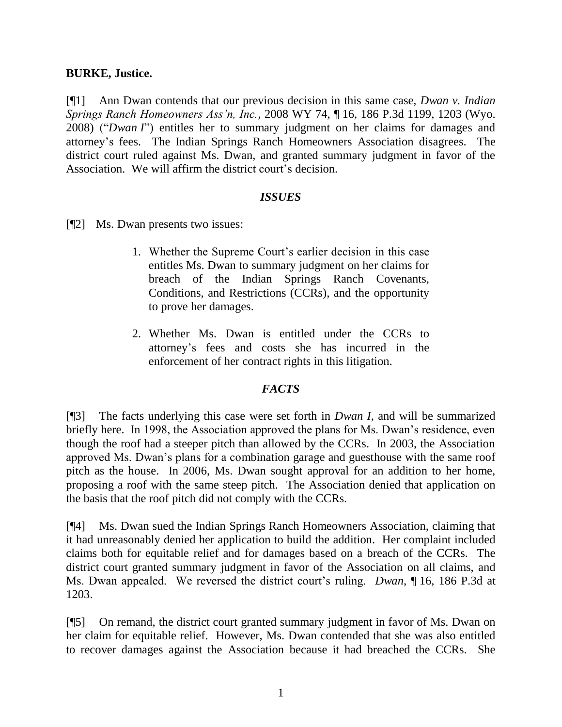### **BURKE, Justice.**

[¶1] Ann Dwan contends that our previous decision in this same case, *Dwan v. Indian Springs Ranch Homeowners Ass'n, Inc.*, 2008 WY 74, ¶ 16, 186 P.3d 1199, 1203 (Wyo. 2008) ("*Dwan I*") entitles her to summary judgment on her claims for damages and attorney's fees. The Indian Springs Ranch Homeowners Association disagrees. The district court ruled against Ms. Dwan, and granted summary judgment in favor of the Association. We will affirm the district court's decision.

#### *ISSUES*

- [¶2] Ms. Dwan presents two issues:
	- 1. Whether the Supreme Court's earlier decision in this case entitles Ms. Dwan to summary judgment on her claims for breach of the Indian Springs Ranch Covenants, Conditions, and Restrictions (CCRs), and the opportunity to prove her damages.
	- 2. Whether Ms. Dwan is entitled under the CCRs to attorney's fees and costs she has incurred in the enforcement of her contract rights in this litigation.

# *FACTS*

[¶3] The facts underlying this case were set forth in *Dwan I*, and will be summarized briefly here. In 1998, the Association approved the plans for Ms. Dwan's residence, even though the roof had a steeper pitch than allowed by the CCRs. In 2003, the Association approved Ms. Dwan's plans for a combination garage and guesthouse with the same roof pitch as the house. In 2006, Ms. Dwan sought approval for an addition to her home, proposing a roof with the same steep pitch. The Association denied that application on the basis that the roof pitch did not comply with the CCRs.

[¶4] Ms. Dwan sued the Indian Springs Ranch Homeowners Association, claiming that it had unreasonably denied her application to build the addition. Her complaint included claims both for equitable relief and for damages based on a breach of the CCRs. The district court granted summary judgment in favor of the Association on all claims, and Ms. Dwan appealed. We reversed the district court's ruling. *Dwan*, ¶ 16, 186 P.3d at 1203.

[¶5] On remand, the district court granted summary judgment in favor of Ms. Dwan on her claim for equitable relief. However, Ms. Dwan contended that she was also entitled to recover damages against the Association because it had breached the CCRs. She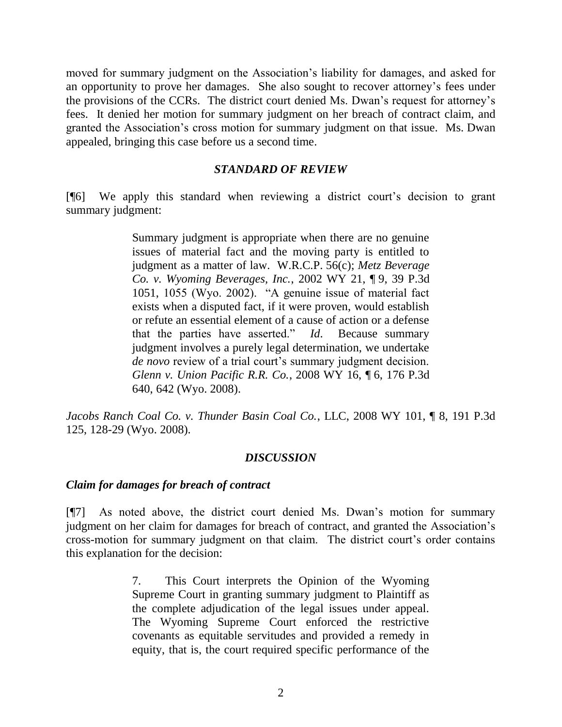moved for summary judgment on the Association's liability for damages, and asked for an opportunity to prove her damages. She also sought to recover attorney's fees under the provisions of the CCRs. The district court denied Ms. Dwan's request for attorney's fees. It denied her motion for summary judgment on her breach of contract claim, and granted the Association's cross motion for summary judgment on that issue. Ms. Dwan appealed, bringing this case before us a second time.

#### *STANDARD OF REVIEW*

[¶6] We apply this standard when reviewing a district court's decision to grant summary judgment:

> Summary judgment is appropriate when there are no genuine issues of material fact and the moving party is entitled to judgment as a matter of law. W.R.C.P. 56(c); *Metz Beverage Co. v. Wyoming Beverages, Inc.*, 2002 WY 21, ¶ 9, 39 P.3d 1051, 1055 (Wyo. 2002). "A genuine issue of material fact exists when a disputed fact, if it were proven, would establish or refute an essential element of a cause of action or a defense that the parties have asserted." *Id*. Because summary judgment involves a purely legal determination, we undertake *de novo* review of a trial court's summary judgment decision. *Glenn v. Union Pacific R.R. Co.*, 2008 WY 16, ¶ 6, 176 P.3d 640, 642 (Wyo. 2008).

*Jacobs Ranch Coal Co. v. Thunder Basin Coal Co.*, LLC, 2008 WY 101, ¶ 8, 191 P.3d 125, 128-29 (Wyo. 2008).

#### *DISCUSSION*

#### *Claim for damages for breach of contract*

[¶7] As noted above, the district court denied Ms. Dwan's motion for summary judgment on her claim for damages for breach of contract, and granted the Association's cross-motion for summary judgment on that claim. The district court's order contains this explanation for the decision:

> 7. This Court interprets the Opinion of the Wyoming Supreme Court in granting summary judgment to Plaintiff as the complete adjudication of the legal issues under appeal. The Wyoming Supreme Court enforced the restrictive covenants as equitable servitudes and provided a remedy in equity, that is, the court required specific performance of the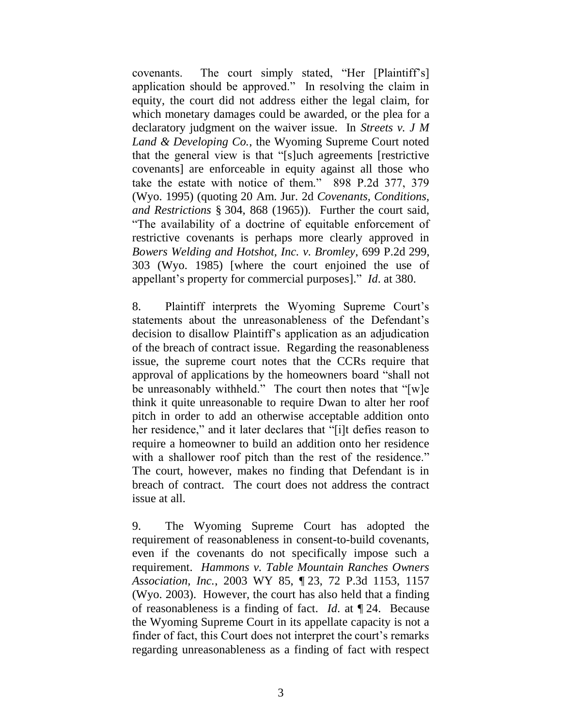covenants. The court simply stated, "Her [Plaintiff's] application should be approved." In resolving the claim in equity, the court did not address either the legal claim, for which monetary damages could be awarded, or the plea for a declaratory judgment on the waiver issue. In *Streets v. J M Land & Developing Co.*, the Wyoming Supreme Court noted that the general view is that "[s]uch agreements [restrictive covenants] are enforceable in equity against all those who take the estate with notice of them." 898 P.2d 377, 379 (Wyo. 1995) (quoting 20 Am. Jur. 2d *Covenants, Conditions, and Restrictions* § 304, 868 (1965)). Further the court said, "The availability of a doctrine of equitable enforcement of restrictive covenants is perhaps more clearly approved in *Bowers Welding and Hotshot, Inc. v. Bromley*, 699 P.2d 299, 303 (Wyo. 1985) [where the court enjoined the use of appellant's property for commercial purposes]." *Id*. at 380.

8. Plaintiff interprets the Wyoming Supreme Court's statements about the unreasonableness of the Defendant's decision to disallow Plaintiff's application as an adjudication of the breach of contract issue. Regarding the reasonableness issue, the supreme court notes that the CCRs require that approval of applications by the homeowners board "shall not be unreasonably withheld." The court then notes that "[w]e think it quite unreasonable to require Dwan to alter her roof pitch in order to add an otherwise acceptable addition onto her residence," and it later declares that "[i]t defies reason to require a homeowner to build an addition onto her residence with a shallower roof pitch than the rest of the residence." The court, however, makes no finding that Defendant is in breach of contract. The court does not address the contract issue at all.

9. The Wyoming Supreme Court has adopted the requirement of reasonableness in consent-to-build covenants, even if the covenants do not specifically impose such a requirement. *Hammons v. Table Mountain Ranches Owners Association, Inc.*, 2003 WY 85, ¶ 23, 72 P.3d 1153, 1157 (Wyo. 2003). However, the court has also held that a finding of reasonableness is a finding of fact. *Id*. at ¶ 24. Because the Wyoming Supreme Court in its appellate capacity is not a finder of fact, this Court does not interpret the court's remarks regarding unreasonableness as a finding of fact with respect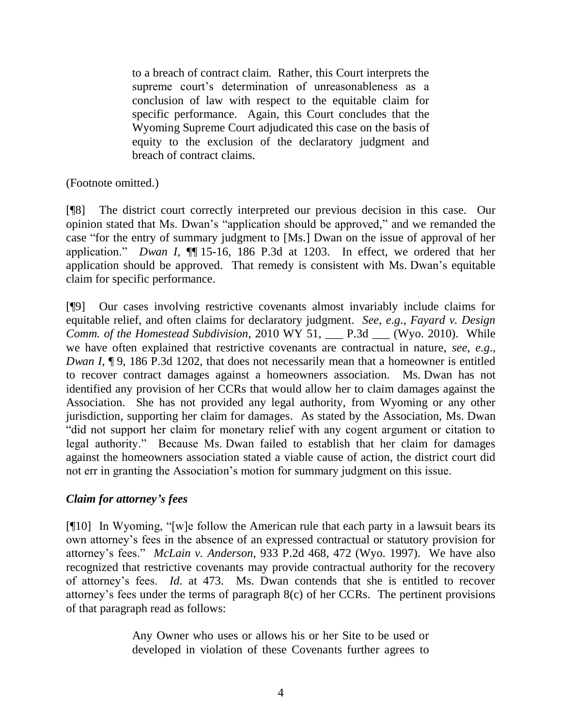to a breach of contract claim. Rather, this Court interprets the supreme court's determination of unreasonableness as a conclusion of law with respect to the equitable claim for specific performance. Again, this Court concludes that the Wyoming Supreme Court adjudicated this case on the basis of equity to the exclusion of the declaratory judgment and breach of contract claims.

# (Footnote omitted.)

[¶8] The district court correctly interpreted our previous decision in this case. Our opinion stated that Ms. Dwan's "application should be approved," and we remanded the case "for the entry of summary judgment to [Ms.] Dwan on the issue of approval of her application." *Dwan I*, ¶¶ 15-16, 186 P.3d at 1203. In effect, we ordered that her application should be approved. That remedy is consistent with Ms. Dwan's equitable claim for specific performance.

[¶9] Our cases involving restrictive covenants almost invariably include claims for equitable relief, and often claims for declaratory judgment. *See*, *e*.*g*., *Fayard v. Design Comm. of the Homestead Subdivision*, 2010 WY 51, \_\_\_ P.3d \_\_\_ (Wyo. 2010). While we have often explained that restrictive covenants are contractual in nature, *see*, *e*.*g*., *Dwan I*,  $\P$ 9, 186 P.3d 1202, that does not necessarily mean that a homeowner is entitled to recover contract damages against a homeowners association. Ms. Dwan has not identified any provision of her CCRs that would allow her to claim damages against the Association. She has not provided any legal authority, from Wyoming or any other jurisdiction, supporting her claim for damages. As stated by the Association, Ms. Dwan "did not support her claim for monetary relief with any cogent argument or citation to legal authority." Because Ms. Dwan failed to establish that her claim for damages against the homeowners association stated a viable cause of action, the district court did not err in granting the Association's motion for summary judgment on this issue.

# *Claim for attorney's fees*

[¶10] In Wyoming, "[w]e follow the American rule that each party in a lawsuit bears its own attorney's fees in the absence of an expressed contractual or statutory provision for attorney's fees." *McLain v. Anderson*, 933 P.2d 468, 472 (Wyo. 1997). We have also recognized that restrictive covenants may provide contractual authority for the recovery of attorney's fees. *Id*. at 473. Ms. Dwan contends that she is entitled to recover attorney's fees under the terms of paragraph 8(c) of her CCRs. The pertinent provisions of that paragraph read as follows:

> Any Owner who uses or allows his or her Site to be used or developed in violation of these Covenants further agrees to